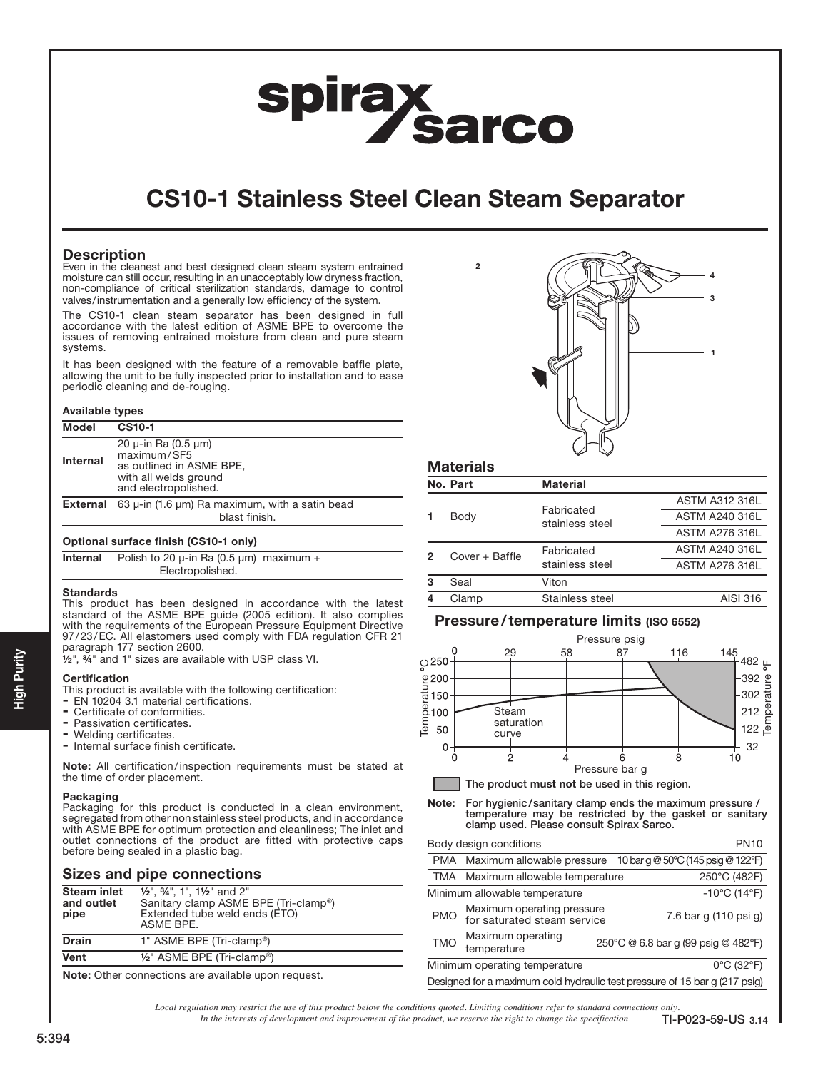# **spirax<br>Sarco**

# CS10-1 Stainless Steel Clean Steam Separator

# **Description**

Even in the cleanest and best designed clean steam system entrained moisture can still occur, resulting in an unacceptably low dryness fraction, non-compliance of critical sterilization standards, damage to control valves/instrumentation and a generally low efficiency of the system.

The CS10-1 clean steam separator has been designed in full accordance with the latest edition of ASME BPE to overcome the issues of removing entrained moisture from clean and pure steam systems.

It has been designed with the feature of a removable baffle plate, allowing the unit to be fully inspected prior to installation and to ease periodic cleaning and de-rouging.

#### Available types

| <b>Model</b>                          | <b>CS10-1</b>                                                                                                             |  |  |  |  |
|---------------------------------------|---------------------------------------------------------------------------------------------------------------------------|--|--|--|--|
| Internal                              | 20 $\mu$ -in Ra (0.5 $\mu$ m)<br>maximum/SF5<br>as outlined in ASME BPE,<br>with all welds ground<br>and electropolished. |  |  |  |  |
| External                              | 63 $\mu$ -in (1.6 $\mu$ m) Ra maximum, with a satin bead<br>blast finish.                                                 |  |  |  |  |
| Optional surface finish (CS10-1 only) |                                                                                                                           |  |  |  |  |
| Internal                              | Polish to 20 $\mu$ -in Ra (0.5 $\mu$ m) maximum +                                                                         |  |  |  |  |

#### **Standards**

This product has been designed in accordance with the latest standard of the ASME BPE guide (2005 edition). It also complies with the requirements of the European Pressure Equipment Directive 97/23/EC. All elastomers used comply with FDA regulation CFR 21 paragraph 177 section 2600.

½", ¾" and 1" sizes are available with USP class VI.

Electropolished.

#### Certification

- This product is available with the following certification:
- EN 10204 3.1 material certifications.
- Certificate of conformities.
- Passivation certificates.
- Welding certificates.
- Internal surface finish certificate.

Note: All certification/inspection requirements must be stated at the time of order placement.

### Packaging

Packaging for this product is conducted in a clean environment, segregated from other non stainless steel products, and in accordance with ASME BPE for optimum protection and cleanliness; The inlet and outlet connections of the product are fitted with protective caps before being sealed in a plastic bag.

# Sizes and pipe connections

| <b>Steam inlet</b><br>and outlet<br>pipe | $1/2$ ", $3/4$ ", 1", $1/2$ " and 2"<br>Sanitary clamp ASME BPE (Tri-clamp®)<br>Extended tube weld ends (ETO)<br>ASME BPE. |
|------------------------------------------|----------------------------------------------------------------------------------------------------------------------------|
| <b>Drain</b>                             | 1" ASME BPE (Tri-clamp <sup>®</sup> )                                                                                      |
| Vent                                     | $1/2$ " ASME BPE (Tri-clamp®)                                                                                              |
|                                          |                                                                                                                            |

Note: Other connections are available upon request.



| <b>Materials</b> |
|------------------|
|------------------|

|   | No. Part       | <b>Material</b>               |                       |
|---|----------------|-------------------------------|-----------------------|
|   |                |                               | <b>ASTM A312 316L</b> |
|   | Body           | Fabricated<br>stainless steel | <b>ASTM A240 316L</b> |
|   |                |                               | <b>ASTM A276 316L</b> |
|   | Cover + Baffle | Fabricated<br>stainless steel | <b>ASTM A240 316L</b> |
|   |                |                               | <b>ASTM A276 316L</b> |
| 3 | Seal           | Viton                         |                       |
|   | Clamp          | Stainless steel               | AISI 316              |

# Pressure/temperature limits (ISO 6552)



Note: For hygienic/sanitary clamp ends the maximum pressure / temperature may be restricted by the gasket or sanitary clamp used. Please consult Spirax Sarco.

|                                                                            | Body design conditions                                               | <b>PN10</b>                         |  |
|----------------------------------------------------------------------------|----------------------------------------------------------------------|-------------------------------------|--|
|                                                                            | 10 bar g @ 50°C (145 psig @ 122°F)<br>PMA Maximum allowable pressure |                                     |  |
|                                                                            | TMA Maximum allowable temperature<br>250°C (482F)                    |                                     |  |
| Minimum allowable temperature                                              |                                                                      | $-10^{\circ}$ C (14 $^{\circ}$ F)   |  |
| <b>PMO</b>                                                                 | Maximum operating pressure<br>for saturated steam service            | 7.6 bar g (110 psi g)               |  |
| <b>TMO</b>                                                                 | Maximum operating<br>temperature                                     | 250°C @ 6.8 bar g (99 psig @ 482°F) |  |
| Minimum operating temperature<br>$0^{\circ}$ C (32 $^{\circ}$ F)           |                                                                      |                                     |  |
| Designed for a maximum cold hydraulic test pressure of 15 bar g (217 psig) |                                                                      |                                     |  |

*Local regulation may restrict the use of this product below the conditions quoted. Limiting conditions refer to standard connections only.*

*In the interests of development and improvement of the product, we reserve the right to change the specification.* TI-P023-59-US 3.14